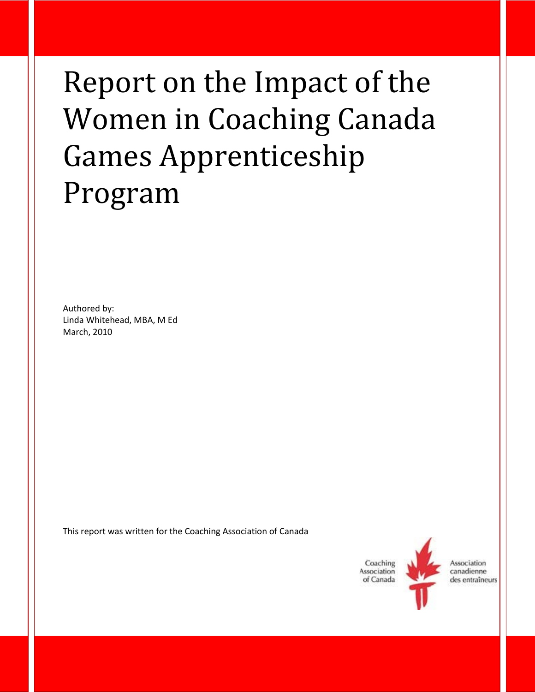# Report on the Impact of the Women in Coaching Canada Games Apprenticeship Program

Authored by: Linda Whitehead, MBA, M Ed March, 2010

This report was written for the Coaching Association of Canada

Coaching Association of Canada



Association canadienne des entraîneurs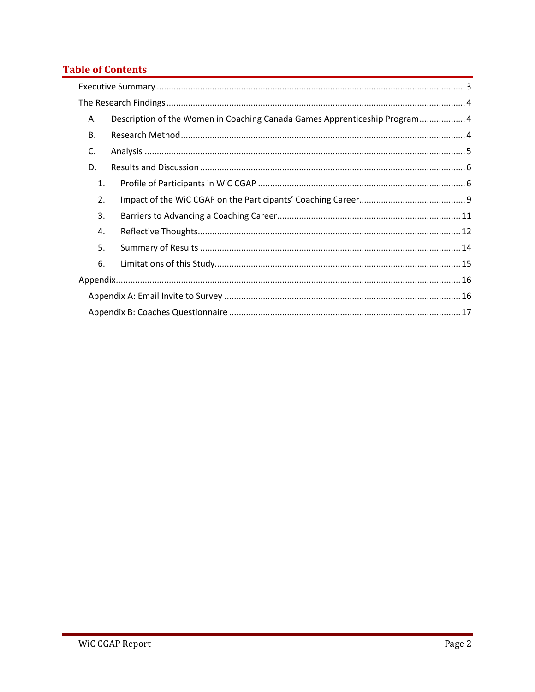# **Table of Contents**

| Α.        | Description of the Women in Coaching Canada Games Apprenticeship Program 4 |
|-----------|----------------------------------------------------------------------------|
| <b>B.</b> |                                                                            |
| C.        |                                                                            |
| D.        |                                                                            |
| 1.        |                                                                            |
| 2.        |                                                                            |
| 3.        |                                                                            |
| 4.        |                                                                            |
| 5.        |                                                                            |
| 6.        |                                                                            |
|           |                                                                            |
|           |                                                                            |
|           |                                                                            |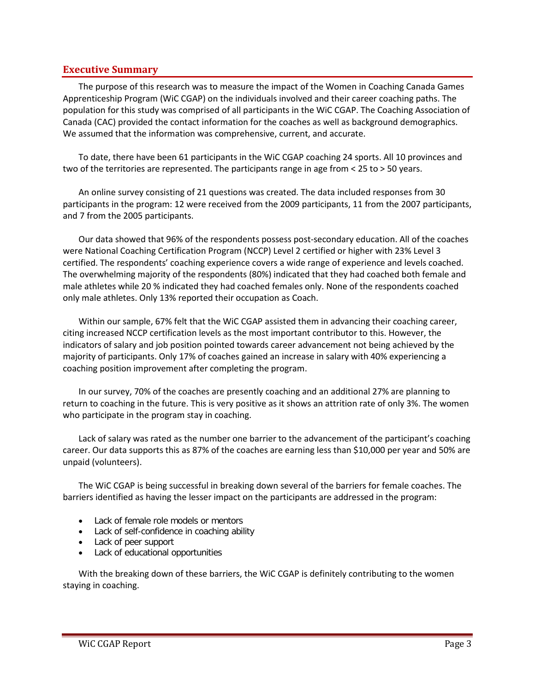#### <span id="page-2-0"></span>**Executive Summary**

The purpose of this research was to measure the impact of the Women in Coaching Canada Games Apprenticeship Program (WiC CGAP) on the individuals involved and their career coaching paths. The population for this study was comprised of all participants in the WiC CGAP. The Coaching Association of Canada (CAC) provided the contact information for the coaches as well as background demographics. We assumed that the information was comprehensive, current, and accurate.

To date, there have been 61 participants in the WiC CGAP coaching 24 sports. All 10 provinces and two of the territories are represented. The participants range in age from < 25 to > 50 years.

An online survey consisting of 21 questions was created. The data included responses from 30 participants in the program: 12 were received from the 2009 participants, 11 from the 2007 participants, and 7 from the 2005 participants.

Our data showed that 96% of the respondents possess post-secondary education. All of the coaches were National Coaching Certification Program (NCCP) Level 2 certified or higher with 23% Level 3 certified. The respondents' coaching experience covers a wide range of experience and levels coached. The overwhelming majority of the respondents (80%) indicated that they had coached both female and male athletes while 20 % indicated they had coached females only. None of the respondents coached only male athletes. Only 13% reported their occupation as Coach.

Within our sample, 67% felt that the WiC CGAP assisted them in advancing their coaching career, citing increased NCCP certification levels as the most important contributor to this. However, the indicators of salary and job position pointed towards career advancement not being achieved by the majority of participants. Only 17% of coaches gained an increase in salary with 40% experiencing a coaching position improvement after completing the program.

In our survey, 70% of the coaches are presently coaching and an additional 27% are planning to return to coaching in the future. This is very positive as it shows an attrition rate of only 3%. The women who participate in the program stay in coaching.

Lack of salary was rated as the number one barrier to the advancement of the participant's coaching career. Our data supports this as 87% of the coaches are earning less than \$10,000 per year and 50% are unpaid (volunteers).

The WiC CGAP is being successful in breaking down several of the barriers for female coaches. The barriers identified as having the lesser impact on the participants are addressed in the program:

- Lack of female role models or mentors
- Lack of self-confidence in coaching ability
- Lack of peer support
- Lack of educational opportunities

With the breaking down of these barriers, the WiC CGAP is definitely contributing to the women staying in coaching.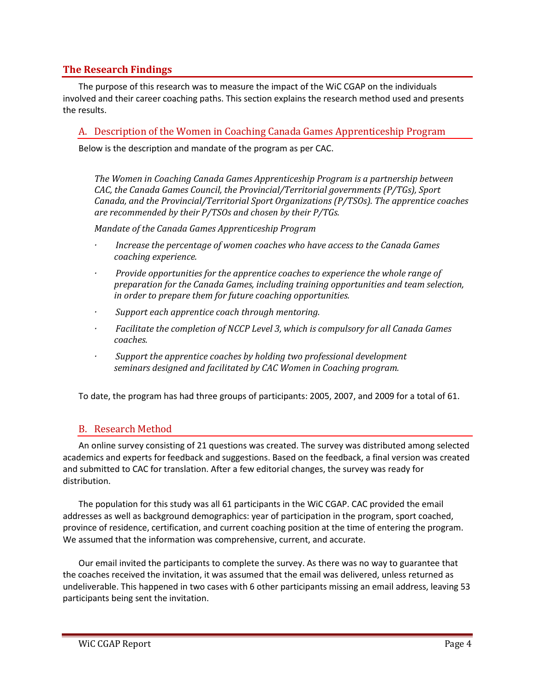## <span id="page-3-0"></span>**The Research Findings**

The purpose of this research was to measure the impact of the WiC CGAP on the individuals involved and their career coaching paths. This section explains the research method used and presents the results.

<span id="page-3-1"></span>A. Description of the Women in Coaching Canada Games Apprenticeship Program

Below is the description and mandate of the program as per CAC.

*The Women in Coaching Canada Games Apprenticeship Program is a partnership between CAC, the Canada Games Council, the Provincial/Territorial governments (P/TGs), Sport Canada, and the Provincial/Territorial Sport Organizations (P/TSOs). The apprentice coaches are recommended by their P/TSOs and chosen by their P/TGs.* 

*Mandate of the Canada Games Apprenticeship Program*

- *· Increase the percentage of women coaches who have access to the Canada Games coaching experience.*
- *· Provide opportunities for the apprentice coaches to experience the whole range of preparation for the Canada Games, including training opportunities and team selection, in order to prepare them for future coaching opportunities.*
- *· Support each apprentice coach through mentoring.*
- *· Facilitate the completion of NCCP Level 3, which is compulsory for all Canada Games coaches.*
- *· Support the apprentice coaches by holding two professional development seminars designed and facilitated by CAC Women in Coaching program.*

To date, the program has had three groups of participants: 2005, 2007, and 2009 for a total of 61.

## <span id="page-3-2"></span>B. Research Method

An online survey consisting of 21 questions was created. The survey was distributed among selected academics and experts for feedback and suggestions. Based on the feedback, a final version was created and submitted to CAC for translation. After a few editorial changes, the survey was ready for distribution.

The population for this study was all 61 participants in the WiC CGAP. CAC provided the email addresses as well as background demographics: year of participation in the program, sport coached, province of residence, certification, and current coaching position at the time of entering the program. We assumed that the information was comprehensive, current, and accurate.

Our email invited the participants to complete the survey. As there was no way to guarantee that the coaches received the invitation, it was assumed that the email was delivered, unless returned as undeliverable. This happened in two cases with 6 other participants missing an email address, leaving 53 participants being sent the invitation.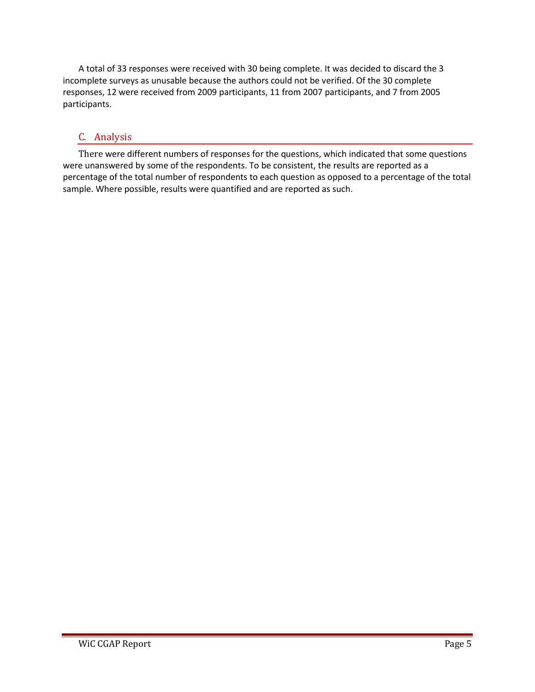A total of 33 responses were received with 30 being complete. It was decided to discard the 3 incomplete surveys as unusable because the authors could not be verified. Of the 30 complete responses, 12 were received from 2009 participants, 11 from 2007 participants, and 7 from 2005 participants.

## <span id="page-4-0"></span>C. Analysis

There were different numbers of responses for the questions, which indicated that some questions were unanswered by some of the respondents. To be consistent, the results are reported as a percentage of the total number of respondents to each question as opposed to a percentage of the total sample. Where possible, results were quantified and are reported as such.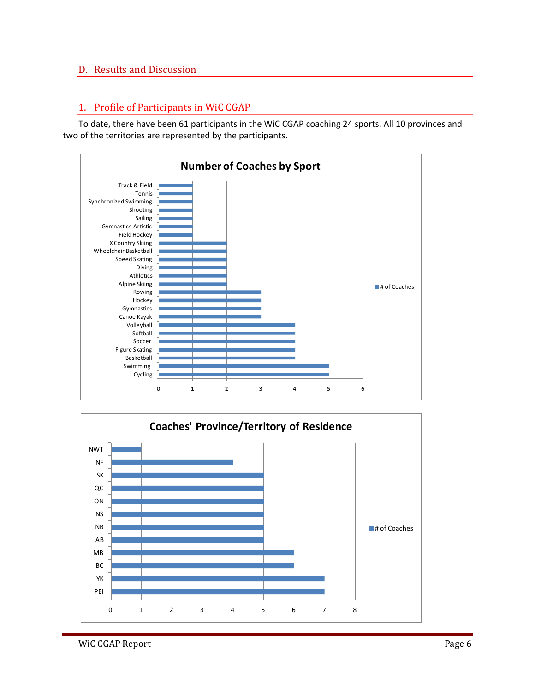## <span id="page-5-0"></span>D. Results and Discussion

### <span id="page-5-1"></span>1. Profile of Participants in WiC CGAP

To date, there have been 61 participants in the WiC CGAP coaching 24 sports. All 10 provinces and two of the territories are represented by the participants.



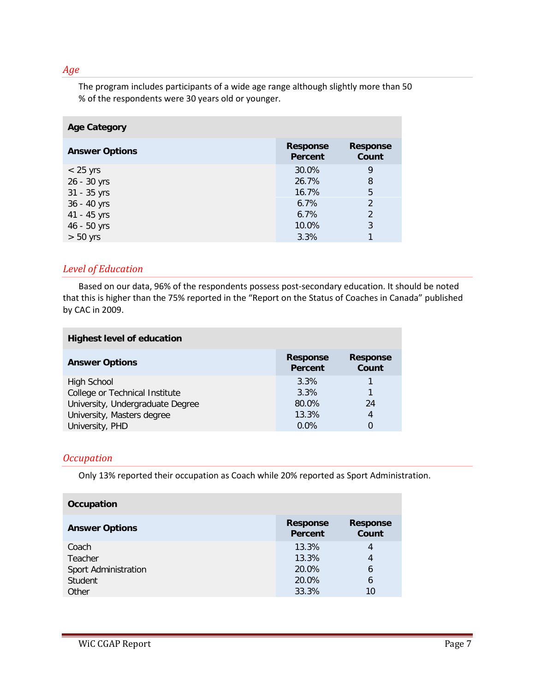#### *Age*

The program includes participants of a wide age range although slightly more than 50 % of the respondents were 30 years old or younger.

| <b>Age Category</b>   |                                   |                          |
|-----------------------|-----------------------------------|--------------------------|
| <b>Answer Options</b> | <b>Response</b><br><b>Percent</b> | <b>Response</b><br>Count |
| $< 25$ yrs            | 30.0%                             | 9                        |
| 26 - 30 yrs           | 26.7%                             | 8                        |
| 31 - 35 yrs           | 16.7%                             | 5                        |
| 36 - 40 yrs           | 6.7%                              | 2                        |
| 41 - 45 yrs           | 6.7%                              | 2                        |
| 46 - 50 yrs           | 10.0%                             | 3                        |
| $> 50$ yrs            | 3.3%                              |                          |

## *Level of Education*

Based on our data, 96% of the respondents possess post-secondary education. It should be noted that this is higher than the 75% reported in the "Report on the Status of Coaches in Canada" published by CAC in 2009.

| <b>Highest level of education</b> |                            |                          |
|-----------------------------------|----------------------------|--------------------------|
| <b>Answer Options</b>             | <b>Response</b><br>Percent | <b>Response</b><br>Count |
| High School                       | 3.3%                       |                          |
| College or Technical Institute    | 3.3%                       |                          |
| University, Undergraduate Degree  | 80.0%                      | 24                       |
| University, Masters degree        | 13.3%                      | 4                        |
| University, PHD                   | 0.0%                       | 0                        |

## *Occupation*

Only 13% reported their occupation as Coach while 20% reported as Sport Administration.

| Occupation            |                            |                          |
|-----------------------|----------------------------|--------------------------|
| <b>Answer Options</b> | <b>Response</b><br>Percent | <b>Response</b><br>Count |
| Coach                 | 13.3%                      | 4                        |
| Teacher               | 13.3%                      | 4                        |
| Sport Administration  | 20.0%                      | 6                        |
| Student               | 20.0%                      | 6                        |
| Other                 | 33.3%                      | 10                       |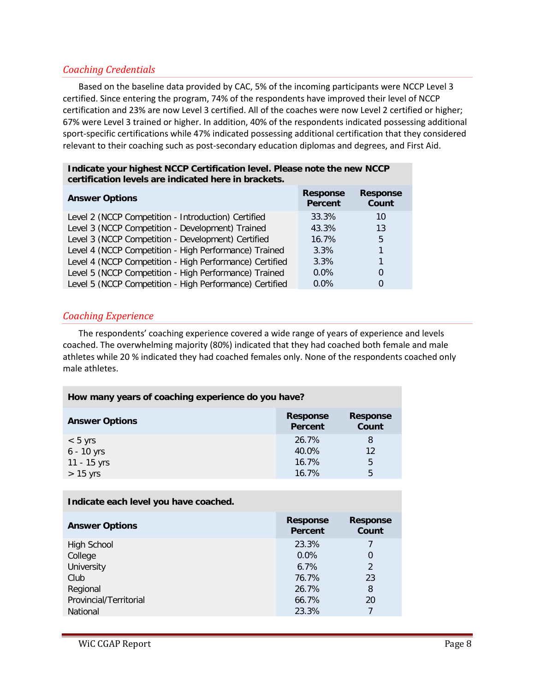## *Coaching Credentials*

Based on the baseline data provided by CAC, 5% of the incoming participants were NCCP Level 3 certified. Since entering the program, 74% of the respondents have improved their level of NCCP certification and 23% are now Level 3 certified. All of the coaches were now Level 2 certified or higher; 67% were Level 3 trained or higher. In addition, 40% of the respondents indicated possessing additional sport-specific certifications while 47% indicated possessing additional certification that they considered relevant to their coaching such as post-secondary education diplomas and degrees, and First Aid.

| certification levels are indicated here in brackets.    |                            |                          |
|---------------------------------------------------------|----------------------------|--------------------------|
| <b>Answer Options</b>                                   | <b>Response</b><br>Percent | <b>Response</b><br>Count |
| Level 2 (NCCP Competition - Introduction) Certified     | 33.3%                      | 10                       |
| Level 3 (NCCP Competition - Development) Trained        | 43.3%                      | 13                       |
| Level 3 (NCCP Competition - Development) Certified      | 16.7%                      | 5                        |
| Level 4 (NCCP Competition - High Performance) Trained   | $3.3\%$                    |                          |
| Level 4 (NCCP Competition - High Performance) Certified | $3.3\%$                    |                          |
| Level 5 (NCCP Competition - High Performance) Trained   | $0.0\%$                    | 0                        |
| Level 5 (NCCP Competition - High Performance) Certified | $0.0\%$                    | 0                        |

## **Indicate your highest NCCP Certification level. Please note the new NCCP certification levels are indicated here in brackets.**

#### *Coaching Experience*

The respondents' coaching experience covered a wide range of years of experience and levels coached. The overwhelming majority (80%) indicated that they had coached both female and male athletes while 20 % indicated they had coached females only. None of the respondents coached only male athletes.

| How many years of coaching experience do you have? |                            |                          |
|----------------------------------------------------|----------------------------|--------------------------|
| <b>Answer Options</b>                              | <b>Response</b><br>Percent | <b>Response</b><br>Count |
| $< 5$ yrs                                          | 26.7%                      | 8                        |
| $6 - 10$ yrs                                       | 40.0%                      | 12                       |
| 11 - 15 yrs                                        | 16.7%                      | 5                        |
| $> 15$ yrs                                         | 16.7%                      | 5                        |

| <b>Response</b><br>Percent | <b>Response</b><br>Count |
|----------------------------|--------------------------|
| 23.3%                      |                          |
| $0.0\%$                    | 0                        |
| 6.7%                       | $\mathfrak{D}$           |
| 76.7%                      | 23                       |
| 26.7%                      | 8                        |
| 66.7%                      | 20                       |
| 23.3%                      |                          |
|                            |                          |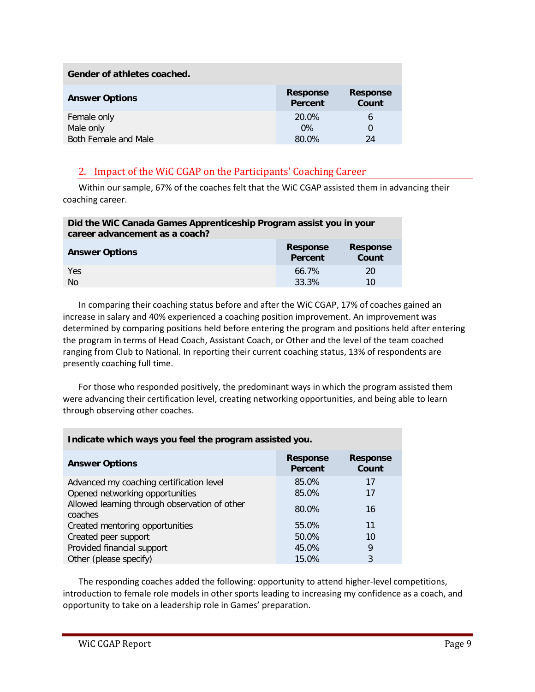| Gender of athletes coached. |                            |                          |
|-----------------------------|----------------------------|--------------------------|
| <b>Answer Options</b>       | <b>Response</b><br>Percent | <b>Response</b><br>Count |
| Female only                 | 20.0%                      | 6                        |
| Male only                   | $0\%$                      | 0                        |
| Both Female and Male        | 80.0%                      | 24                       |

## <span id="page-8-0"></span>2. Impact of the WiC CGAP on the Participants' Coaching Career

Within our sample, 67% of the coaches felt that the WiC CGAP assisted them in advancing their coaching career.

| Did the WiC Canada Games Apprenticeship Program assist you in your<br>career advancement as a coach? |                                   |                          |
|------------------------------------------------------------------------------------------------------|-----------------------------------|--------------------------|
| <b>Answer Options</b>                                                                                | <b>Response</b><br><b>Percent</b> | <b>Response</b><br>Count |
| Yes                                                                                                  | 66.7%                             | 20                       |
| N <sub>0</sub>                                                                                       | 33.3%                             | 10                       |

In comparing their coaching status before and after the WiC CGAP, 17% of coaches gained an increase in salary and 40% experienced a coaching position improvement. An improvement was determined by comparing positions held before entering the program and positions held after entering the program in terms of Head Coach, Assistant Coach, or Other and the level of the team coached ranging from Club to National. In reporting their current coaching status, 13% of respondents are presently coaching full time.

For those who responded positively, the predominant ways in which the program assisted them were advancing their certification level, creating networking opportunities, and being able to learn through observing other coaches.

| Indicate which ways you feel the program assisted you.                                                                       |                            |                          |
|------------------------------------------------------------------------------------------------------------------------------|----------------------------|--------------------------|
| <b>Answer Options</b>                                                                                                        | <b>Response</b><br>Percent | <b>Response</b><br>Count |
| Advanced my coaching certification level<br>Opened networking opportunities<br>Allowed learning through observation of other | 85.0%<br>85.0%             | 17<br>17                 |
| coaches                                                                                                                      | 80.0%<br>55.0%             | 16<br>11                 |
| Created mentoring opportunities<br>Created peer support                                                                      | 50.0%                      | 10                       |
| Provided financial support<br>Other (please specify)                                                                         | 45.0%<br>15.0%             | 9<br>3                   |

The responding coaches added the following: opportunity to attend higher-level competitions, introduction to female role models in other sports leading to increasing my confidence as a coach, and opportunity to take on a leadership role in Games' preparation.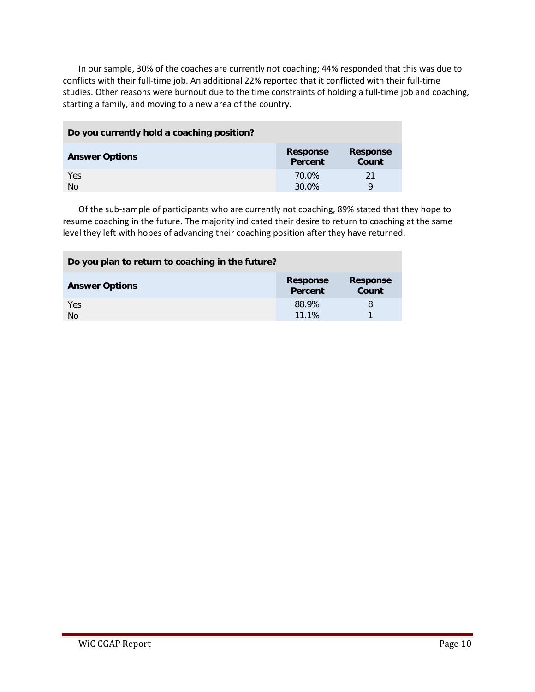In our sample, 30% of the coaches are currently not coaching; 44% responded that this was due to conflicts with their full-time job. An additional 22% reported that it conflicted with their full-time studies. Other reasons were burnout due to the time constraints of holding a full-time job and coaching, starting a family, and moving to a new area of the country.

| Do you currently hold a coaching position? |                            |                          |
|--------------------------------------------|----------------------------|--------------------------|
| <b>Answer Options</b>                      | <b>Response</b><br>Percent | <b>Response</b><br>Count |
| Yes<br><b>No</b>                           | 70.0%<br>30.0%             | 21<br>Q                  |

Of the sub-sample of participants who are currently not coaching, 89% stated that they hope to resume coaching in the future. The majority indicated their desire to return to coaching at the same level they left with hopes of advancing their coaching position after they have returned.

| Do you plan to return to coaching in the future? |                            |                          |
|--------------------------------------------------|----------------------------|--------------------------|
| <b>Answer Options</b>                            | <b>Response</b><br>Percent | <b>Response</b><br>Count |
| Yes<br><b>No</b>                                 | 88.9%<br>11.1%             | 8                        |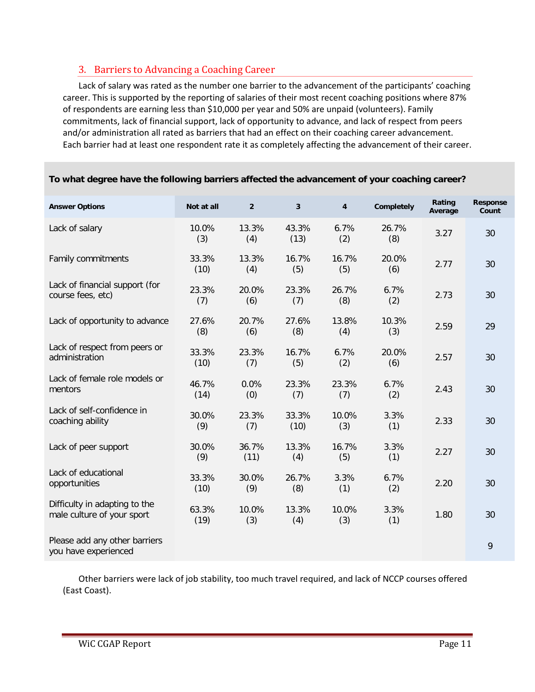# <span id="page-10-0"></span>3. Barriers to Advancing a Coaching Career

Lack of salary was rated as the number one barrier to the advancement of the participants' coaching career. This is supported by the reporting of salaries of their most recent coaching positions where 87% of respondents are earning less than \$10,000 per year and 50% are unpaid (volunteers). Family commitments, lack of financial support, lack of opportunity to advance, and lack of respect from peers and/or administration all rated as barriers that had an effect on their coaching career advancement. Each barrier had at least one respondent rate it as completely affecting the advancement of their career.

| <b>Answer Options</b>                                       | Not at all    | $\overline{2}$ | 3             | 4            | Completely   | Rating<br>Average | Response<br>Count |
|-------------------------------------------------------------|---------------|----------------|---------------|--------------|--------------|-------------------|-------------------|
| Lack of salary                                              | 10.0%<br>(3)  | 13.3%<br>(4)   | 43.3%<br>(13) | 6.7%<br>(2)  | 26.7%<br>(8) | 3.27              | 30                |
| Family commitments                                          | 33.3%<br>(10) | 13.3%<br>(4)   | 16.7%<br>(5)  | 16.7%<br>(5) | 20.0%<br>(6) | 2.77              | 30                |
| Lack of financial support (for<br>course fees, etc)         | 23.3%<br>(7)  | 20.0%<br>(6)   | 23.3%<br>(7)  | 26.7%<br>(8) | 6.7%<br>(2)  | 2.73              | 30                |
| Lack of opportunity to advance                              | 27.6%<br>(8)  | 20.7%<br>(6)   | 27.6%<br>(8)  | 13.8%<br>(4) | 10.3%<br>(3) | 2.59              | 29                |
| Lack of respect from peers or<br>administration             | 33.3%<br>(10) | 23.3%<br>(7)   | 16.7%<br>(5)  | 6.7%<br>(2)  | 20.0%<br>(6) | 2.57              | 30                |
| Lack of female role models or<br>mentors                    | 46.7%<br>(14) | 0.0%<br>(0)    | 23.3%<br>(7)  | 23.3%<br>(7) | 6.7%<br>(2)  | 2.43              | 30                |
| Lack of self-confidence in<br>coaching ability              | 30.0%<br>(9)  | 23.3%<br>(7)   | 33.3%<br>(10) | 10.0%<br>(3) | 3.3%<br>(1)  | 2.33              | 30                |
| Lack of peer support                                        | 30.0%<br>(9)  | 36.7%<br>(11)  | 13.3%<br>(4)  | 16.7%<br>(5) | 3.3%<br>(1)  | 2.27              | 30                |
| Lack of educational<br>opportunities                        | 33.3%<br>(10) | 30.0%<br>(9)   | 26.7%<br>(8)  | 3.3%<br>(1)  | 6.7%<br>(2)  | 2.20              | 30                |
| Difficulty in adapting to the<br>male culture of your sport | 63.3%<br>(19) | 10.0%<br>(3)   | 13.3%<br>(4)  | 10.0%<br>(3) | 3.3%<br>(1)  | 1.80              | 30                |
| Please add any other barriers<br>you have experienced       |               |                |               |              |              |                   | 9                 |

#### **To what degree have the following barriers affected the advancement of your coaching career?**

Other barriers were lack of job stability, too much travel required, and lack of NCCP courses offered (East Coast).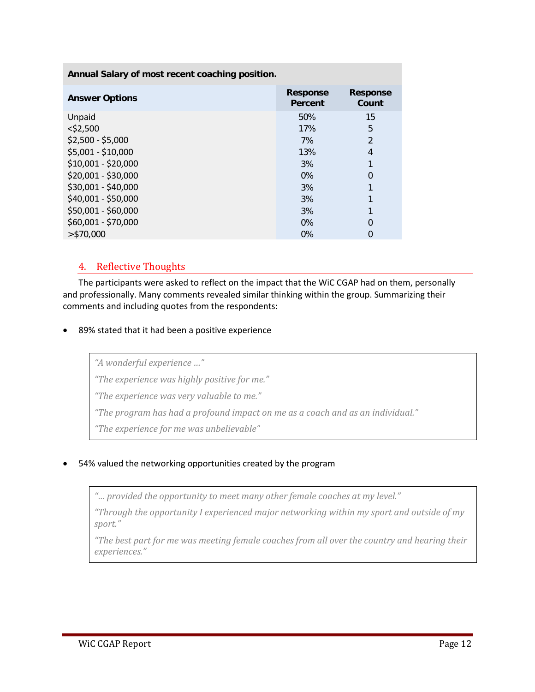| Annual Salary of most recent coaching position. |                            |                          |  |  |  |
|-------------------------------------------------|----------------------------|--------------------------|--|--|--|
| <b>Answer Options</b>                           | <b>Response</b><br>Percent | <b>Response</b><br>Count |  |  |  |
| Unpaid                                          | 50%                        | 15                       |  |  |  |
| $<$ \$2,500                                     | 17%                        | 5                        |  |  |  |
| $$2,500 - $5,000$                               | 7%                         | $\mathfrak{D}$           |  |  |  |
| \$5,001 - \$10,000                              | 13%                        | 4                        |  |  |  |
| \$10,001 - \$20,000                             | 3%                         |                          |  |  |  |
| \$20,001 - \$30,000                             | $0\%$                      | 0                        |  |  |  |
| \$30,001 - \$40,000                             | 3%                         |                          |  |  |  |
| \$40,001 - \$50,000                             | 3%                         |                          |  |  |  |
| \$50,001 - \$60,000                             | 3%                         |                          |  |  |  |
| \$60,001 - \$70,000                             | $0\%$                      | 0                        |  |  |  |
| $>$ \$70,000                                    | $0\%$                      |                          |  |  |  |

## <span id="page-11-0"></span>4. Reflective Thoughts

The participants were asked to reflect on the impact that the WiC CGAP had on them, personally and professionally. Many comments revealed similar thinking within the group. Summarizing their comments and including quotes from the respondents:

• 89% stated that it had been a positive experience

*"A wonderful experience …"* 

*"The experience was highly positive for me."* 

*"The experience was very valuable to me."* 

*"The program has had a profound impact on me as a coach and as an individual."* 

*"The experience for me was unbelievable"*

• 54% valued the networking opportunities created by the program

*"… provided the opportunity to meet many other female coaches at my level."* 

*"Through the opportunity I experienced major networking within my sport and outside of my sport."*

*"The best part for me was meeting female coaches from all over the country and hearing their experiences."*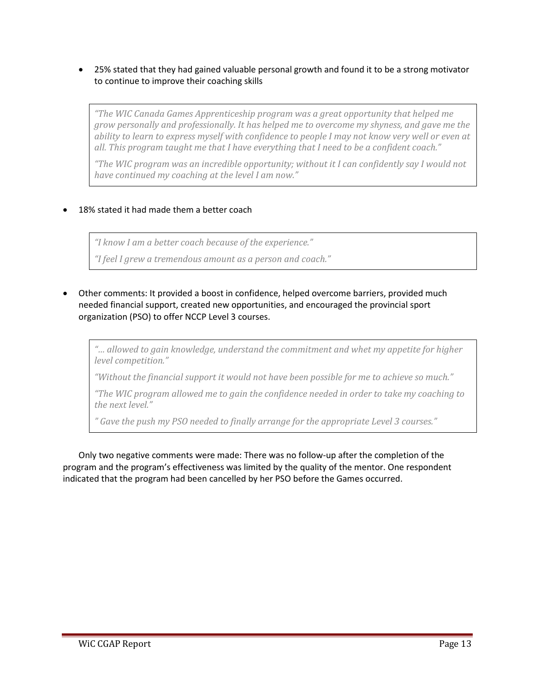• 25% stated that they had gained valuable personal growth and found it to be a strong motivator to continue to improve their coaching skills

*"The WIC Canada Games Apprenticeship program was a great opportunity that helped me grow personally and professionally. It has helped me to overcome my shyness, and gave me the ability to learn to express myself with confidence to people I may not know very well or even at all. This program taught me that I have everything that I need to be a confident coach."* 

*"The WIC program was an incredible opportunity; without it I can confidently say I would not have continued my coaching at the level I am now."*

#### 18% stated it had made them a better coach

*"I know I am a better coach because of the experience."*

*"I feel I grew a tremendous amount as a person and coach."*

• Other comments: It provided a boost in confidence, helped overcome barriers, provided much needed financial support, created new opportunities, and encouraged the provincial sport organization (PSO) to offer NCCP Level 3 courses.

*"… allowed to gain knowledge, understand the commitment and whet my appetite for higher level competition."*

*"Without the financial support it would not have been possible for me to achieve so much."*

*"The WIC program allowed me to gain the confidence needed in order to take my coaching to the next level."*

*" Gave the push my PSO needed to finally arrange for the appropriate Level 3 courses."*

Only two negative comments were made: There was no follow-up after the completion of the program and the program's effectiveness was limited by the quality of the mentor. One respondent indicated that the program had been cancelled by her PSO before the Games occurred.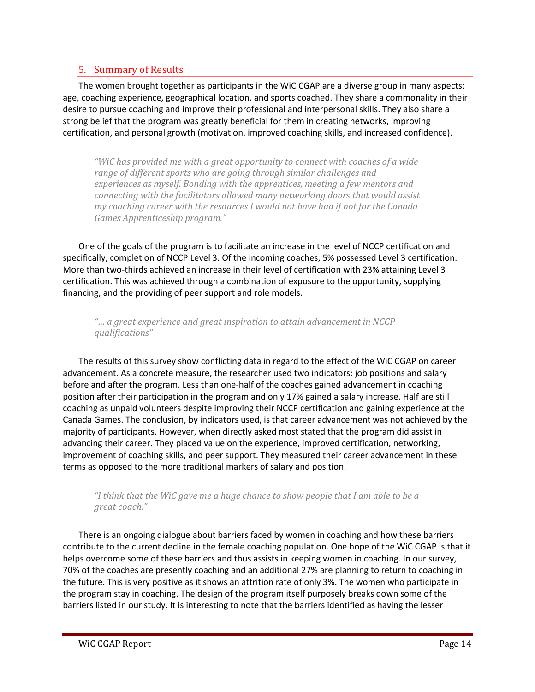## <span id="page-13-0"></span>5. Summary of Results

The women brought together as participants in the WiC CGAP are a diverse group in many aspects: age, coaching experience, geographical location, and sports coached. They share a commonality in their desire to pursue coaching and improve their professional and interpersonal skills. They also share a strong belief that the program was greatly beneficial for them in creating networks, improving certification, and personal growth (motivation, improved coaching skills, and increased confidence).

*"WiC has provided me with a great opportunity to connect with coaches of a wide range of different sports who are going through similar challenges and experiences as myself. Bonding with the apprentices, meeting a few mentors and connecting with the facilitators allowed many networking doors that would assist my coaching career with the resources I would not have had if not for the Canada Games Apprenticeship program."*

One of the goals of the program is to facilitate an increase in the level of NCCP certification and specifically, completion of NCCP Level 3. Of the incoming coaches, 5% possessed Level 3 certification. More than two-thirds achieved an increase in their level of certification with 23% attaining Level 3 certification. This was achieved through a combination of exposure to the opportunity, supplying financing, and the providing of peer support and role models.

*"… a great experience and great inspiration to attain advancement in NCCP qualifications"*

The results of this survey show conflicting data in regard to the effect of the WiC CGAP on career advancement. As a concrete measure, the researcher used two indicators: job positions and salary before and after the program. Less than one-half of the coaches gained advancement in coaching position after their participation in the program and only 17% gained a salary increase. Half are still coaching as unpaid volunteers despite improving their NCCP certification and gaining experience at the Canada Games. The conclusion, by indicators used, is that career advancement was not achieved by the majority of participants. However, when directly asked most stated that the program did assist in advancing their career. They placed value on the experience, improved certification, networking, improvement of coaching skills, and peer support. They measured their career advancement in these terms as opposed to the more traditional markers of salary and position.

#### *"I think that the WiC gave me a huge chance to show people that I am able to be a great coach."*

There is an ongoing dialogue about barriers faced by women in coaching and how these barriers contribute to the current decline in the female coaching population. One hope of the WiC CGAP is that it helps overcome some of these barriers and thus assists in keeping women in coaching. In our survey, 70% of the coaches are presently coaching and an additional 27% are planning to return to coaching in the future. This is very positive as it shows an attrition rate of only 3%. The women who participate in the program stay in coaching. The design of the program itself purposely breaks down some of the barriers listed in our study. It is interesting to note that the barriers identified as having the lesser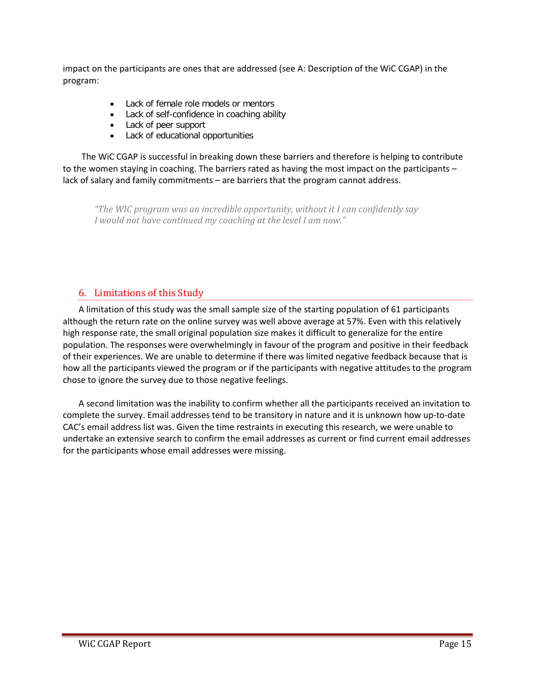impact on the participants are ones that are addressed (see A: Description of the WiC CGAP) in the program:

- Lack of female role models or mentors
- Lack of self-confidence in coaching ability
- Lack of peer support
- Lack of educational opportunities

The WiC CGAP is successful in breaking down these barriers and therefore is helping to contribute to the women staying in coaching. The barriers rated as having the most impact on the participants – lack of salary and family commitments – are barriers that the program cannot address.

*"The WIC program was an incredible opportunity, without it I can confidently say I would not have continued my coaching at the level I am now."*

## <span id="page-14-0"></span>6. Limitations of this Study

A limitation of this study was the small sample size of the starting population of 61 participants although the return rate on the online survey was well above average at 57%. Even with this relatively high response rate, the small original population size makes it difficult to generalize for the entire population. The responses were overwhelmingly in favour of the program and positive in their feedback of their experiences. We are unable to determine if there was limited negative feedback because that is how all the participants viewed the program or if the participants with negative attitudes to the program chose to ignore the survey due to those negative feelings.

A second limitation was the inability to confirm whether all the participants received an invitation to complete the survey. Email addresses tend to be transitory in nature and it is unknown how up-to-date CAC's email address list was. Given the time restraints in executing this research, we were unable to undertake an extensive search to confirm the email addresses as current or find current email addresses for the participants whose email addresses were missing.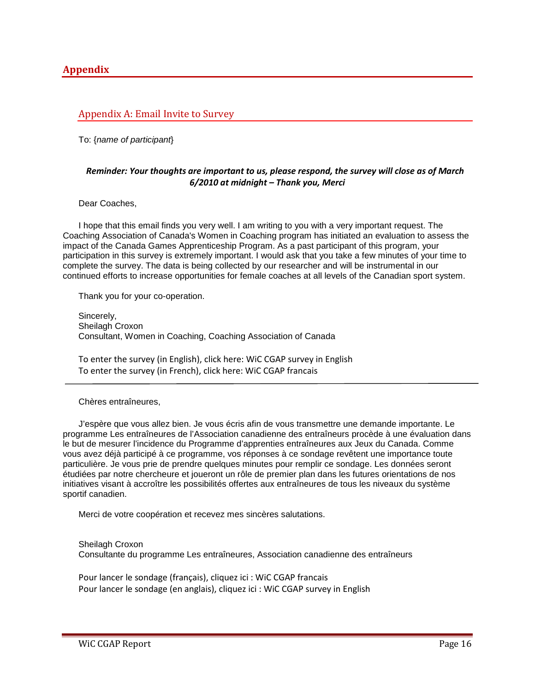#### <span id="page-15-1"></span><span id="page-15-0"></span>Appendix A: Email Invite to Survey

To: {*name of participant*}

#### *Reminder: Your thoughts are important to us, please respond, the survey will close as of March 6/2010 at midnight – Thank you, Merci*

Dear Coaches,

I hope that this email finds you very well. I am writing to you with a very important request. The Coaching Association of Canada's Women in Coaching program has initiated an evaluation to assess the impact of the Canada Games Apprenticeship Program. As a past participant of this program, your participation in this survey is extremely important. I would ask that you take a few minutes of your time to complete the survey. The data is being collected by our researcher and will be instrumental in our continued efforts to increase opportunities for female coaches at all levels of the Canadian sport system.

Thank you for your co-operation.

Sincerely, Sheilagh Croxon Consultant, Women in Coaching, Coaching Association of Canada

To enter the survey (in English), click here: WiC CGAP survey in English To enter the survey (in French), click here: WiC CGAP francais

#### Chères entraîneures,

J'espère que vous allez bien. Je vous écris afin de vous transmettre une demande importante. Le programme Les entraîneures de l'Association canadienne des entraîneurs procède à une évaluation dans le but de mesurer l'incidence du Programme d'apprenties entraîneures aux Jeux du Canada. Comme vous avez déjà participé à ce programme, vos réponses à ce sondage revêtent une importance toute particulière. Je vous prie de prendre quelques minutes pour remplir ce sondage. Les données seront étudiées par notre chercheure et joueront un rôle de premier plan dans les futures orientations de nos initiatives visant à accroître les possibilités offertes aux entraîneures de tous les niveaux du système sportif canadien.

Merci de votre coopération et recevez mes sincères salutations.

Sheilagh Croxon Consultante du programme Les entraîneures, Association canadienne des entraîneurs

Pour lancer le sondage (français), cliquez ici : WiC CGAP francais Pour lancer le sondage (en anglais), cliquez ici : WiC CGAP survey in English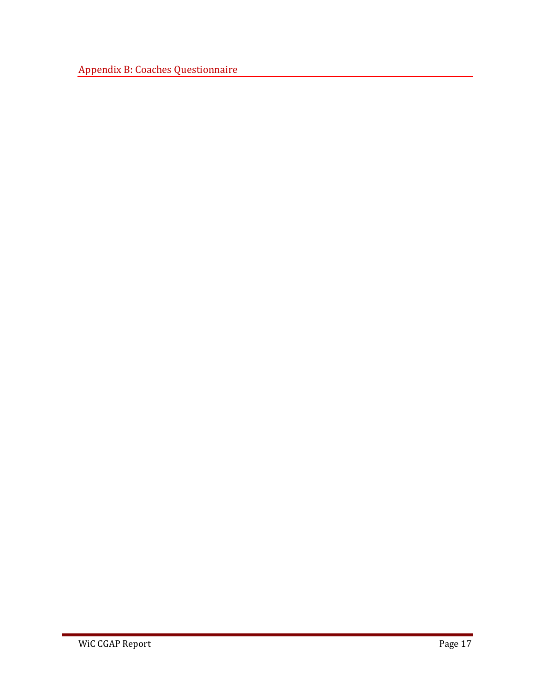<span id="page-16-0"></span>Appendix B: Coaches Questionnaire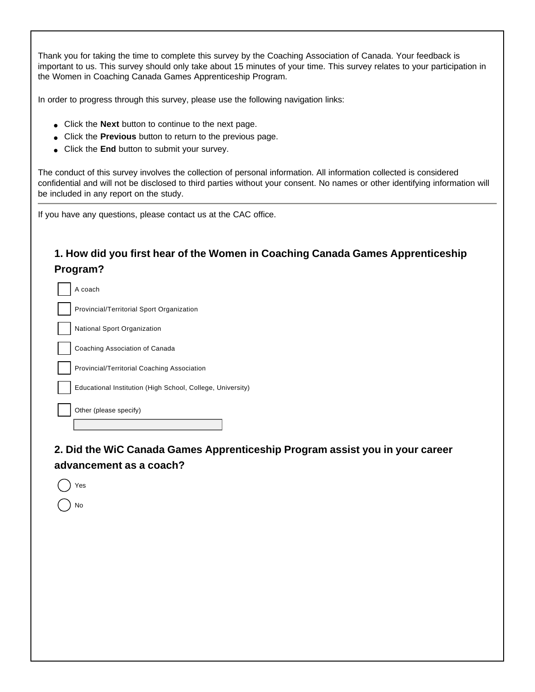Thank you for taking the time to complete this survey by the Coaching Association of Canada. Your feedback is important to us. This survey should only take about 15 minutes of your time. This survey relates to your participation in the Women in Coaching Canada Games Apprenticeship Program.

In order to progress through this survey, please use the following navigation links:

- Click the **Next** button to continue to the next page.
- Click the **Previous** button to return to the previous page.
- Click the **End** button to submit your survey.

The conduct of this survey involves the collection of personal information. All information collected is considered confidential and will not be disclosed to third parties without your consent. No names or other identifying information will be included in any report on the study.

If you have any questions, please contact us at the CAC office.

# **1. How did you first hear of the Women in Coaching Canada Games Apprenticeship Program?**

| A coach                                                    |
|------------------------------------------------------------|
| Provincial/Territorial Sport Organization                  |
| National Sport Organization                                |
| Coaching Association of Canada                             |
| Provincial/Territorial Coaching Association                |
| Educational Institution (High School, College, University) |
| Other (please specify)                                     |
|                                                            |

**2. Did the WiC Canada Games Apprenticeship Program assist you in your career advancement as a coach?**

| Yes |  |
|-----|--|
| No  |  |
|     |  |
|     |  |
|     |  |
|     |  |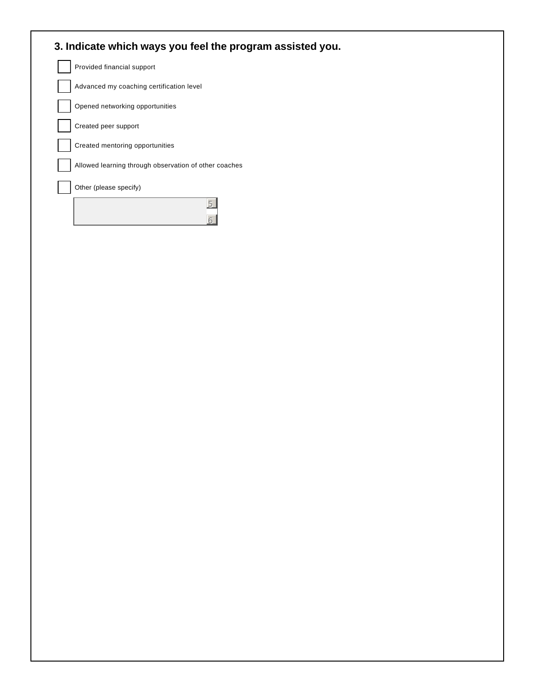| 3. Indicate which ways you feel the program assisted you. |
|-----------------------------------------------------------|
| Provided financial support                                |
| Advanced my coaching certification level                  |
| Opened networking opportunities                           |
| Created peer support                                      |
| Created mentoring opportunities                           |
| Allowed learning through observation of other coaches     |
| Other (please specify)                                    |
|                                                           |
|                                                           |
|                                                           |
|                                                           |
|                                                           |
|                                                           |
|                                                           |
|                                                           |
|                                                           |
|                                                           |
|                                                           |
|                                                           |
|                                                           |
|                                                           |
|                                                           |
|                                                           |
|                                                           |
|                                                           |
|                                                           |
|                                                           |
|                                                           |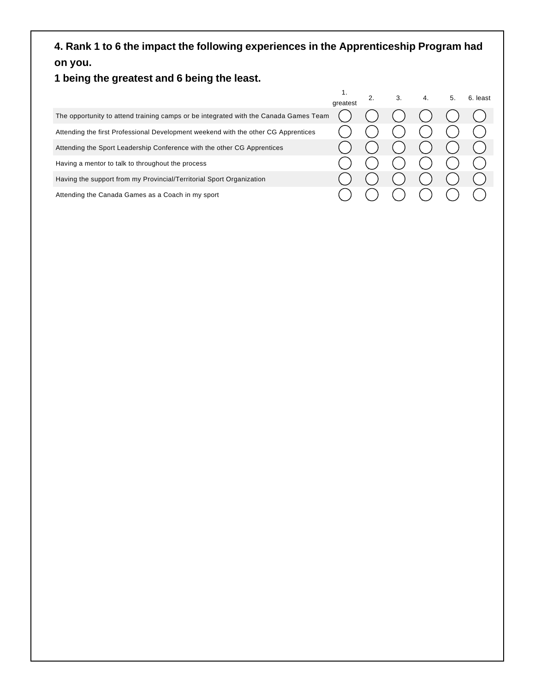# **4. Rank 1 to 6 the impact the following experiences in the Apprenticeship Program had on you.**

# **1 being the greatest and 6 being the least.**

|                                                                                      | greatest | 3. | 4. | 5. | 6. least |
|--------------------------------------------------------------------------------------|----------|----|----|----|----------|
| The opportunity to attend training camps or be integrated with the Canada Games Team |          |    |    |    |          |
| Attending the first Professional Development weekend with the other CG Apprentices   |          |    |    |    |          |
| Attending the Sport Leadership Conference with the other CG Apprentices              |          |    |    |    |          |
| Having a mentor to talk to throughout the process                                    |          |    |    |    |          |
| Having the support from my Provincial/Territorial Sport Organization                 |          |    |    |    |          |
| Attending the Canada Games as a Coach in my sport                                    |          |    |    |    |          |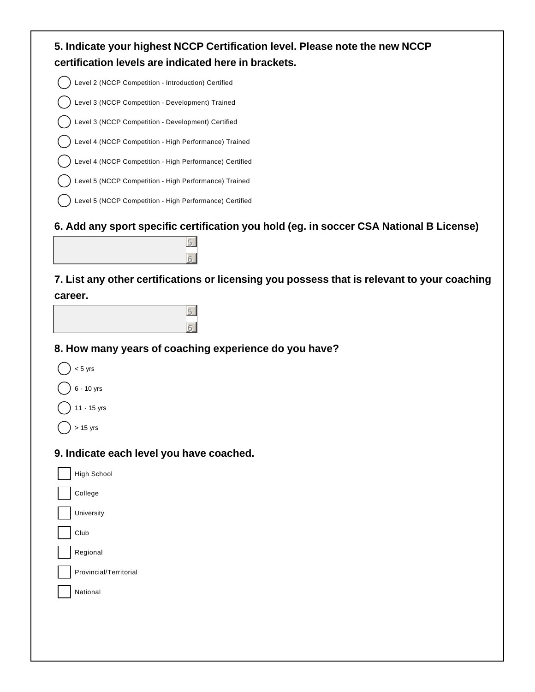| 5. Indicate your highest NCCP Certification level. Please note the new NCCP<br>certification levels are indicated here in brackets. |
|-------------------------------------------------------------------------------------------------------------------------------------|
| Level 2 (NCCP Competition - Introduction) Certified                                                                                 |
| Level 3 (NCCP Competition - Development) Trained                                                                                    |
| Level 3 (NCCP Competition - Development) Certified                                                                                  |
| Level 4 (NCCP Competition - High Performance) Trained                                                                               |
| Level 4 (NCCP Competition - High Performance) Certified                                                                             |
| Level 5 (NCCP Competition - High Performance) Trained                                                                               |
| Level 5 (NCCP Competition - High Performance) Certified                                                                             |
| 6. Add any sport specific certification you hold (eg. in soccer CSA National B License)<br>5                                        |
| 7. List any other certifications or licensing you possess that is relevant to your coaching<br>career.                              |
|                                                                                                                                     |
| 8. How many years of coaching experience do you have?                                                                               |
| $< 5$ yrs                                                                                                                           |
| 6 - 10 yrs                                                                                                                          |
| 11 - 15 yrs                                                                                                                         |
| $> 15$ yrs                                                                                                                          |
| 9. Indicate each level you have coached.                                                                                            |
| <b>High School</b>                                                                                                                  |
| College                                                                                                                             |
| University                                                                                                                          |
| Club                                                                                                                                |
| Regional                                                                                                                            |
| Provincial/Territorial                                                                                                              |
| National                                                                                                                            |
|                                                                                                                                     |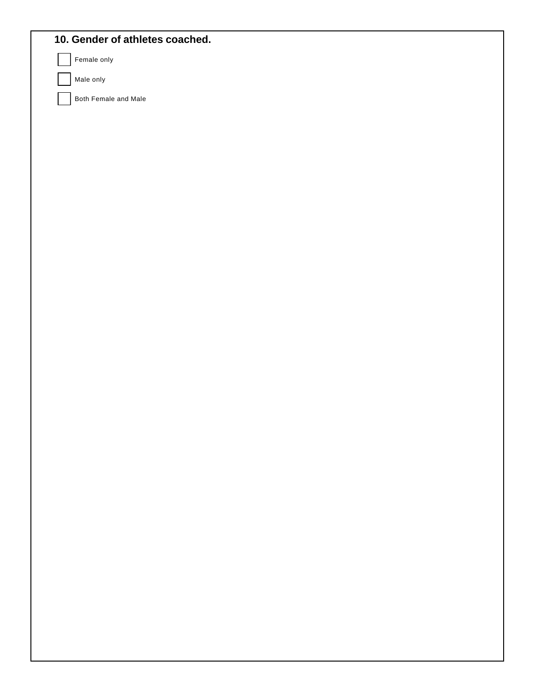| 10. Gender of athletes coached. |  |  |
|---------------------------------|--|--|
| Female only                     |  |  |
| Male only                       |  |  |
| Both Female and Male            |  |  |
|                                 |  |  |
|                                 |  |  |
|                                 |  |  |
|                                 |  |  |
|                                 |  |  |
|                                 |  |  |
|                                 |  |  |
|                                 |  |  |
|                                 |  |  |
|                                 |  |  |
|                                 |  |  |
|                                 |  |  |
|                                 |  |  |
|                                 |  |  |
|                                 |  |  |
|                                 |  |  |
|                                 |  |  |
|                                 |  |  |
|                                 |  |  |
|                                 |  |  |
|                                 |  |  |
|                                 |  |  |
|                                 |  |  |
|                                 |  |  |
|                                 |  |  |
|                                 |  |  |
|                                 |  |  |
|                                 |  |  |
|                                 |  |  |
|                                 |  |  |
|                                 |  |  |
|                                 |  |  |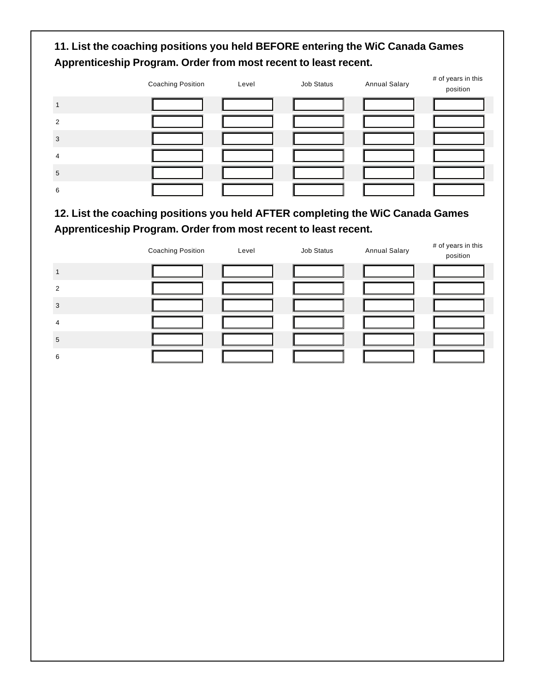# **11. List the coaching positions you held BEFORE entering the WiC Canada Games Apprenticeship Program. Order from most recent to least recent.**

|   | <b>Coaching Position</b> | Level | Job Status | <b>Annual Salary</b> | # of years in this<br>position |
|---|--------------------------|-------|------------|----------------------|--------------------------------|
|   |                          |       |            |                      |                                |
| 2 |                          |       |            |                      |                                |
| p |                          |       |            |                      |                                |
| Δ |                          |       |            |                      |                                |
| 5 |                          |       |            |                      |                                |
| 6 |                          |       |            |                      |                                |

# **12. List the coaching positions you held AFTER completing the WiC Canada Games Apprenticeship Program. Order from most recent to least recent.**

|               | <b>Coaching Position</b> | Level | Job Status | <b>Annual Salary</b> | # of years in this<br>position |
|---------------|--------------------------|-------|------------|----------------------|--------------------------------|
|               |                          |       |            |                      |                                |
| $\mathcal{P}$ |                          |       |            |                      |                                |
| 3             |                          |       |            |                      |                                |
| 4             |                          |       |            |                      |                                |
| 5             |                          |       |            |                      |                                |
| 6             |                          |       |            |                      |                                |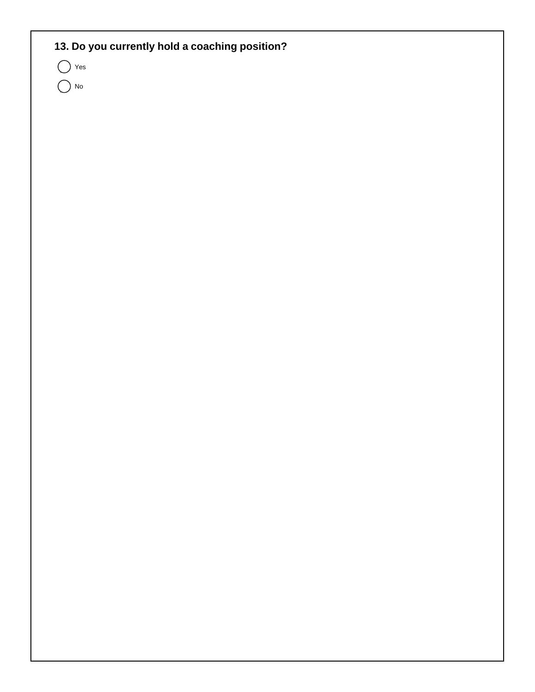# **13. Do you currently hold a coaching position?**

 $\bigcap$  Yes

 $\bigcap$  No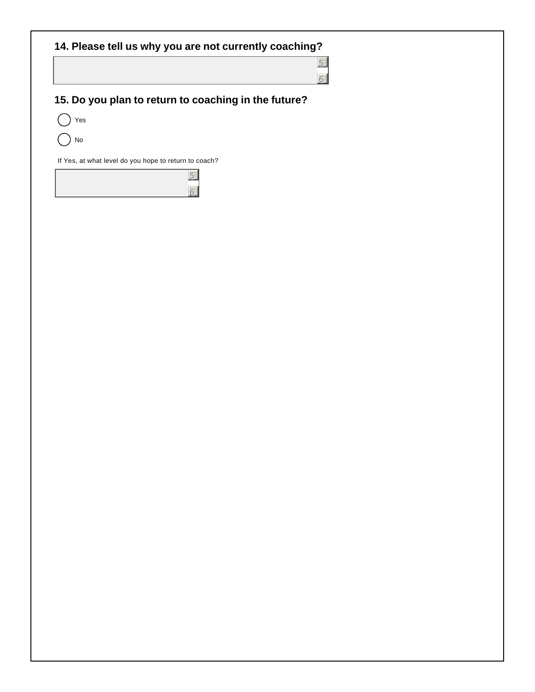**14. Please tell us why you are not currently coaching?**

5 6

# **15. Do you plan to return to coaching in the future?**

5 6

 $()$  Yes

No

If Yes, at what level do you hope to return to coach?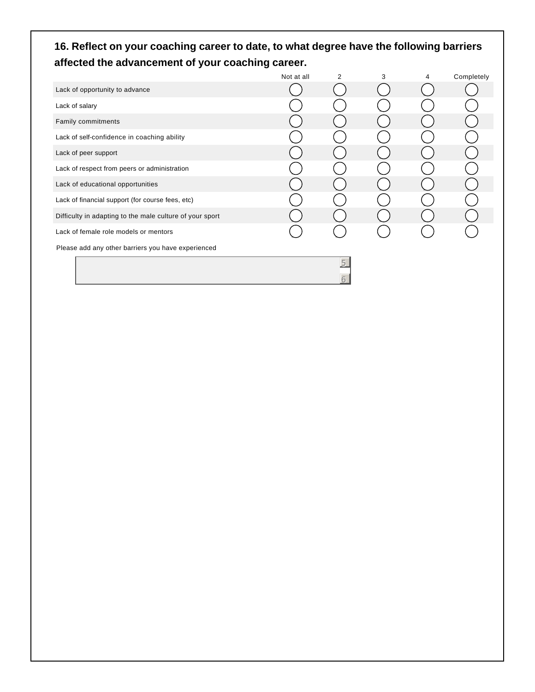# **16. Reflect on your coaching career to date, to what degree have the following barriers affected the advancement of your coaching career.**

|                                                          | Not at all | 2 | 3 | 4 | Completely |
|----------------------------------------------------------|------------|---|---|---|------------|
| Lack of opportunity to advance                           |            |   |   |   |            |
| Lack of salary                                           |            |   |   |   |            |
| Family commitments                                       |            |   |   |   |            |
| Lack of self-confidence in coaching ability              |            |   |   |   |            |
| Lack of peer support                                     |            |   |   |   |            |
| Lack of respect from peers or administration             |            |   |   |   |            |
| Lack of educational opportunities                        |            |   |   |   |            |
| Lack of financial support (for course fees, etc)         |            |   |   |   |            |
| Difficulty in adapting to the male culture of your sport |            |   |   |   |            |
| Lack of female role models or mentors                    |            |   |   |   |            |
| Please add any other barriers you have experienced       |            |   |   |   |            |
|                                                          |            | 5 |   |   |            |
|                                                          |            | 6 |   |   |            |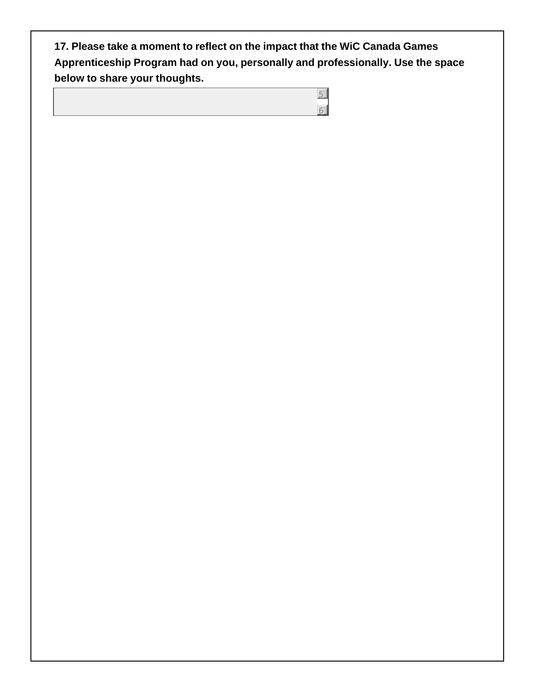**17. Please take a moment to reflect on the impact that the WiC Canada Games Apprenticeship Program had on you, personally and professionally. Use the space below to share your thoughts.**

> 5 6